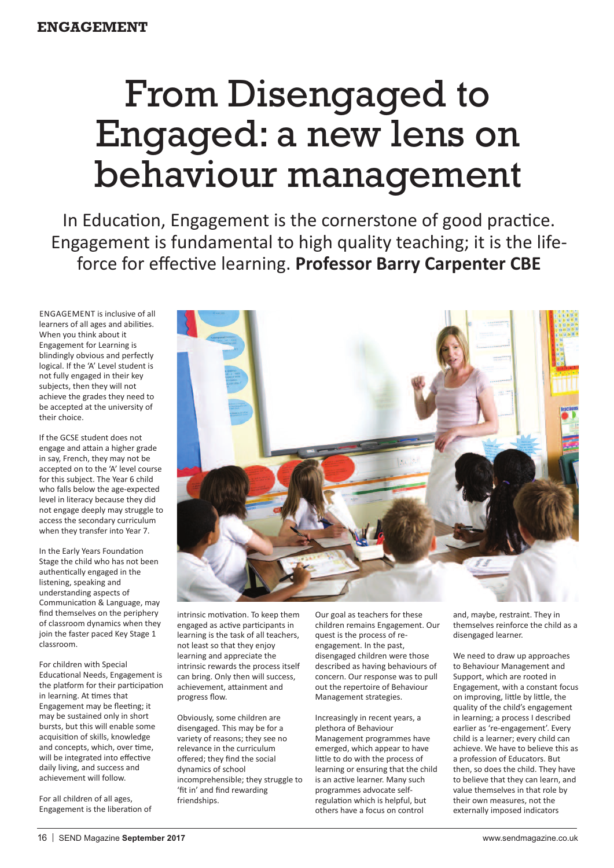## From Disengaged to Engaged: a new lens on behaviour management

In Education, Engagement is the cornerstone of good practice. Engagement is fundamental to high quality teaching; it is the lifeforce for effective learning. **Professor Barry Carpenter CBE**

EngagEmEnt is inclusive of all learners of all ages and abilities. When you think about it Engagement for Learning is blindingly obvious and perfectly logical. If the 'A' Level student is not fully engaged in their key subjects, then they will not achieve the grades they need to be accepted at the university of their choice.

If the gCSE student does not engage and attain a higher grade in say, French, they may not be accepted on to the 'A' level course for this subject. The Year 6 child who falls below the age-expected level in literacy because they did not engage deeply may struggle to access the secondary curriculum when they transfer into Year 7.

In the Early Years Foundation Stage the child who has not been authentically engaged in the listening, speaking and understanding aspects of Communication & Language, may find themselves on the periphery of classroom dynamics when they join the faster paced Key Stage 1 classroom.

For children with Special Educational needs, Engagement is the platform for their participation in learning. At times that Engagement may be fleeting; it may be sustained only in short bursts, but this will enable some acquisition of skills, knowledge and concepts, which, over time, will be integrated into effective daily living, and success and achievement will follow.

For all children of all ages, Engagement is the liberation of

intrinsic motivation. To keep them engaged as active participants in learning is the task of all teachers,

dynamics of school incomprehensible; they struggle to 'fit in' and find rewarding friendships.

Our goal as teachers for these children remains Engagement. Our quest is the process of redescribed as having behaviours of concern. Our response was to pull

learning or ensuring that the child is an active learner. Many such programmes advocate selfregulation which is helpful, but others have a focus on control

and, maybe, restraint. They in themselves reinforce the child as a disengaged learner.

We need to draw up approaches to Behaviour Management and Support, which are rooted in Engagement, with a constant focus on improving, little by little, the quality of the child's engagement in learning; a process I described earlier as 're-engagement'. Every child is a learner; every child can achieve. We have to believe this as a profession of Educators. But then, so does the child. They have to believe that they can learn, and value themselves in that role by their own measures, not the externally imposed indicators